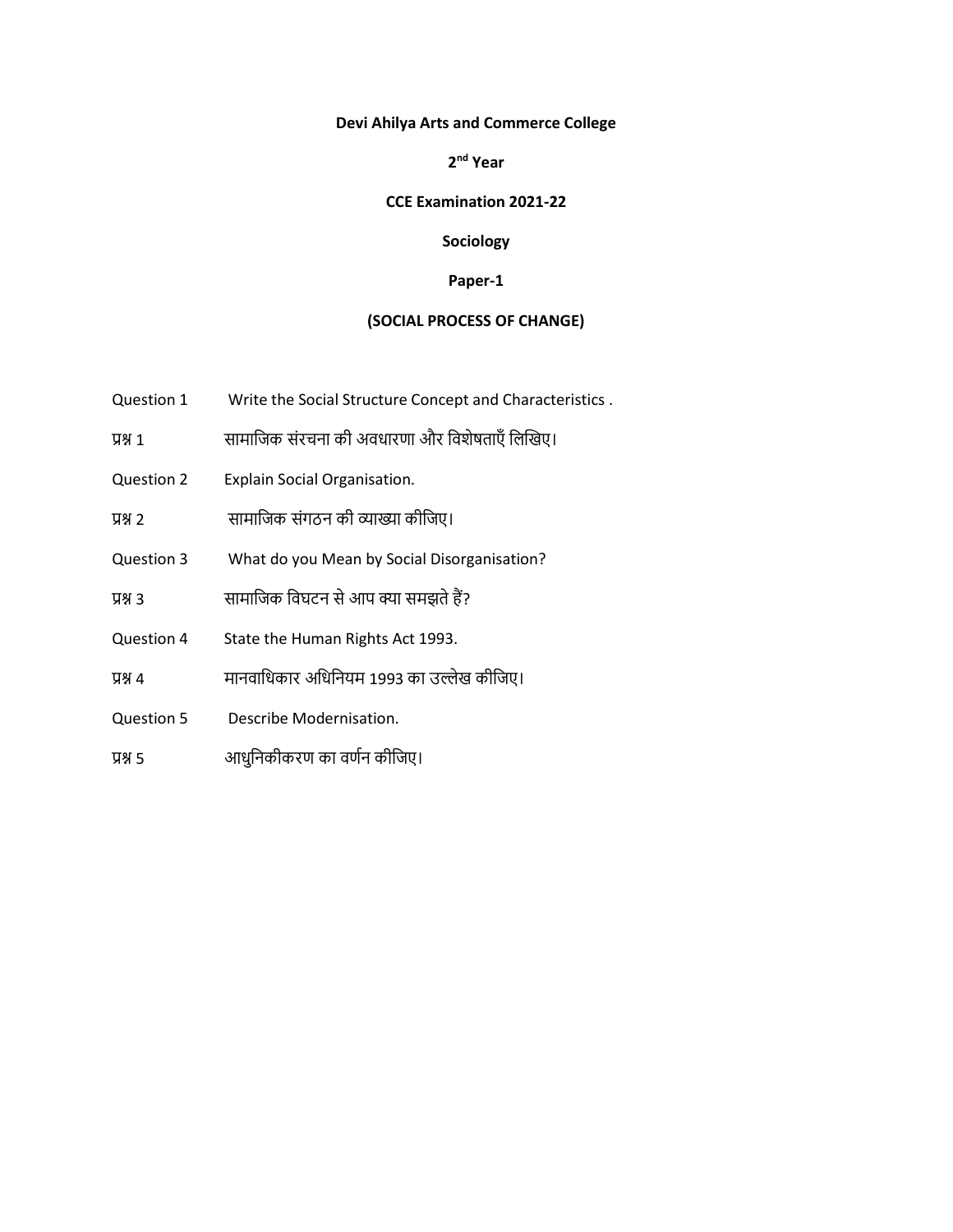### **Devi Ahilya Arts and Commerce College**

**2 nd Year**

### **CCE Examination 2021-22**

# **Sociology**

#### **Paper-1**

# **(SOCIAL PROCESS OF CHANGE)**

- Question 1 Write the Social Structure Concept and Characteristics .
- प्रश्न 1 सामाजिक संरचना की अवधारणा और जवशेषताएँ जिखिए।
- Question 2 Explain Social Organisation.
- प्रश्न 2 सामाजिक संगठन की व्याख्या कीजिए।
- Question 3 What do you Mean by Social Disorganisation?
- प्रश्न 3 सामाजिक जवघटन से आप क्या समझते हैं?
- Question 4 State the Human Rights Act 1993.
- प्रश्न 4 मानवाधिकार अधिनियम 1993 का उल्लेख कीजिए।
- Question 5 Describe Modernisation.
- प्रश्न 5 अाधुनिकीकरण का वर्णन कीजिए।